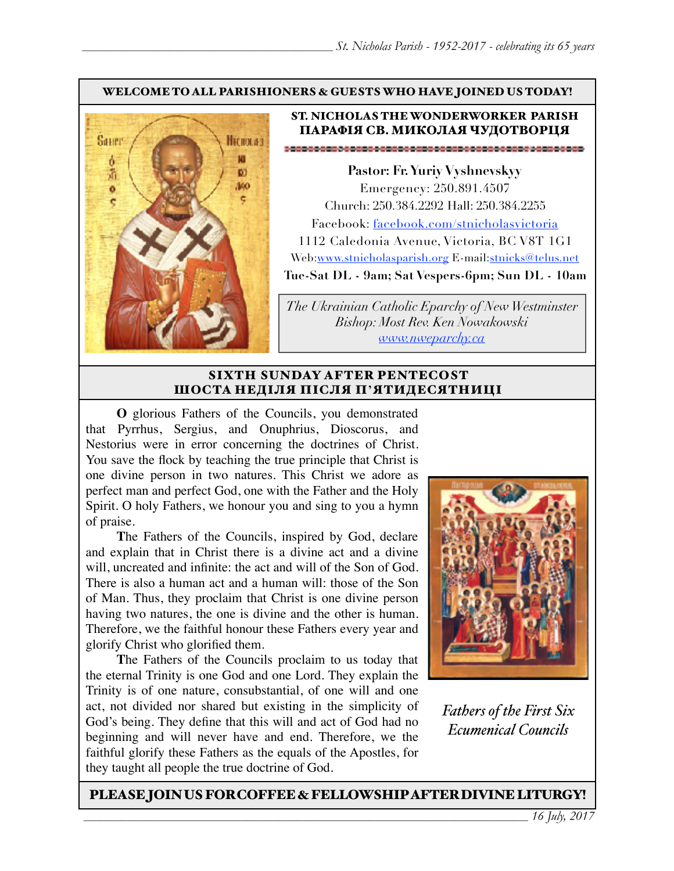#### WELCOME TO ALL PARISHIONERS & GUESTS WHO HAVE JOINED US TODAY!



### ST. NICHOLAS THE WONDERWORKER PARISH ПАРАФІЯ СВ. МИКОЛАЯ ЧУДОТВОРЦЯ

**Pastor: Fr. Yuriy Vyshnevskyy** Emergency: 250.891.4507 Church: 250.384.2292 Hall: 250.384.2255 Facebook: facebook.com/stnicholasvictoria 1112 Caledonia Avenue, Victoria, BC V8T 1G1 Web[:www.stnicholasparish.org](http://www.stnicholasparish.org) E-mail:[stnicks@telus.net](mailto:stnicks@telus.net) **Tue-Sat DL - 9am; Sat Vespers-6pm; Sun DL - 10am**

*The Ukrainian Catholic Eparchy of New Westminster Bishop: Most Rev. Ken Nowakowski [www.nweparchy.ca](http://www.nweparchy.ca)*

#### SIXTH SUNDAY AFTER PENTECOST ШОСТА НЕДІЛЯ ПІСЛЯ П**'**ЯТИДЕСЯТНИЦІ

**O** glorious Fathers of the Councils, you demonstrated that Pyrrhus, Sergius, and Onuphrius, Dioscorus, and Nestorius were in error concerning the doctrines of Christ. You save the flock by teaching the true principle that Christ is one divine person in two natures. This Christ we adore as perfect man and perfect God, one with the Father and the Holy Spirit. O holy Fathers, we honour you and sing to you a hymn of praise.

**T**he Fathers of the Councils, inspired by God, declare and explain that in Christ there is a divine act and a divine will, uncreated and infinite: the act and will of the Son of God. There is also a human act and a human will: those of the Son of Man. Thus, they proclaim that Christ is one divine person having two natures, the one is divine and the other is human. Therefore, we the faithful honour these Fathers every year and glorify Christ who glorified them.

**T**he Fathers of the Councils proclaim to us today that the eternal Trinity is one God and one Lord. They explain the Trinity is of one nature, consubstantial, of one will and one act, not divided nor shared but existing in the simplicity of God's being. They define that this will and act of God had no beginning and will never have and end. Therefore, we the faithful glorify these Fathers as the equals of the Apostles, for they taught all people the true doctrine of God.



*Fathers of the First Six Ecumenical Councils*

PLEASE JOIN US FOR COFFEE & FELLOWSHIP AFTER DIVINE LITURGY!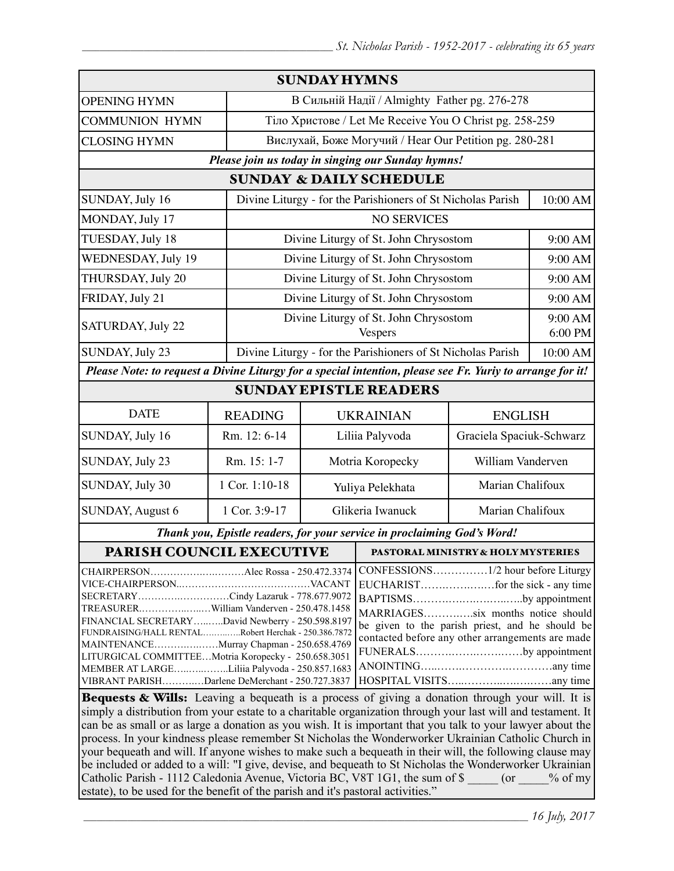|                                                                                                                                                                                                                                                                                                                                                                                                                                                                                                                                                                                          |                    | <b>SUNDAY HYMNS</b>                                         |                                                             |                                    |                    |  |
|------------------------------------------------------------------------------------------------------------------------------------------------------------------------------------------------------------------------------------------------------------------------------------------------------------------------------------------------------------------------------------------------------------------------------------------------------------------------------------------------------------------------------------------------------------------------------------------|--------------------|-------------------------------------------------------------|-------------------------------------------------------------|------------------------------------|--------------------|--|
| <b>OPENING HYMN</b>                                                                                                                                                                                                                                                                                                                                                                                                                                                                                                                                                                      |                    | В Сильній Надії / Almighty Father pg. 276-278               |                                                             |                                    |                    |  |
| <b>COMMUNION HYMN</b>                                                                                                                                                                                                                                                                                                                                                                                                                                                                                                                                                                    |                    | Тіло Христове / Let Me Receive You O Christ pg. 258-259     |                                                             |                                    |                    |  |
| <b>CLOSING HYMN</b>                                                                                                                                                                                                                                                                                                                                                                                                                                                                                                                                                                      |                    | Вислухай, Боже Могучий / Hear Our Petition pg. 280-281      |                                                             |                                    |                    |  |
|                                                                                                                                                                                                                                                                                                                                                                                                                                                                                                                                                                                          |                    |                                                             | Please join us today in singing our Sunday hymns!           |                                    |                    |  |
| <b>SUNDAY &amp; DAILY SCHEDULE</b>                                                                                                                                                                                                                                                                                                                                                                                                                                                                                                                                                       |                    |                                                             |                                                             |                                    |                    |  |
| SUNDAY, July 16                                                                                                                                                                                                                                                                                                                                                                                                                                                                                                                                                                          |                    | Divine Liturgy - for the Parishioners of St Nicholas Parish |                                                             |                                    | 10:00 AM           |  |
| MONDAY, July 17                                                                                                                                                                                                                                                                                                                                                                                                                                                                                                                                                                          | <b>NO SERVICES</b> |                                                             |                                                             |                                    |                    |  |
| TUESDAY, July 18                                                                                                                                                                                                                                                                                                                                                                                                                                                                                                                                                                         |                    | Divine Liturgy of St. John Chrysostom                       |                                                             |                                    | 9:00 AM            |  |
| WEDNESDAY, July 19                                                                                                                                                                                                                                                                                                                                                                                                                                                                                                                                                                       |                    | Divine Liturgy of St. John Chrysostom                       |                                                             |                                    | 9:00 AM            |  |
| THURSDAY, July 20                                                                                                                                                                                                                                                                                                                                                                                                                                                                                                                                                                        |                    |                                                             | Divine Liturgy of St. John Chrysostom                       |                                    | 9:00 AM            |  |
| FRIDAY, July 21                                                                                                                                                                                                                                                                                                                                                                                                                                                                                                                                                                          |                    |                                                             | Divine Liturgy of St. John Chrysostom                       |                                    | 9:00 AM            |  |
| SATURDAY, July 22                                                                                                                                                                                                                                                                                                                                                                                                                                                                                                                                                                        |                    |                                                             | Divine Liturgy of St. John Chrysostom<br><b>Vespers</b>     |                                    | 9:00 AM<br>6:00 PM |  |
| SUNDAY, July 23                                                                                                                                                                                                                                                                                                                                                                                                                                                                                                                                                                          |                    |                                                             | Divine Liturgy - for the Parishioners of St Nicholas Parish |                                    | 10:00 AM           |  |
| Please Note: to request a Divine Liturgy for a special intention, please see Fr. Yuriy to arrange for it!                                                                                                                                                                                                                                                                                                                                                                                                                                                                                |                    |                                                             |                                                             |                                    |                    |  |
| <b>SUNDAY EPISTLE READERS</b>                                                                                                                                                                                                                                                                                                                                                                                                                                                                                                                                                            |                    |                                                             |                                                             |                                    |                    |  |
| <b>DATE</b>                                                                                                                                                                                                                                                                                                                                                                                                                                                                                                                                                                              | <b>READING</b>     |                                                             |                                                             | <b>UKRAINIAN</b><br><b>ENGLISH</b> |                    |  |
| SUNDAY, July 16                                                                                                                                                                                                                                                                                                                                                                                                                                                                                                                                                                          | Rm. 12: 6-14       |                                                             | Liliia Palyvoda<br>Graciela Spaciuk-Schwarz                 |                                    |                    |  |
| SUNDAY, July 23                                                                                                                                                                                                                                                                                                                                                                                                                                                                                                                                                                          | Rm. 15: 1-7        | Motria Koropecky                                            |                                                             | William Vanderven                  |                    |  |
| SUNDAY, July 30                                                                                                                                                                                                                                                                                                                                                                                                                                                                                                                                                                          | 1 Cor. 1:10-18     | Yuliya Pelekhata                                            |                                                             | Marian Chalifoux                   |                    |  |
| <b>SUNDAY, August 6</b>                                                                                                                                                                                                                                                                                                                                                                                                                                                                                                                                                                  | 1 Cor. 3:9-17      | Glikeria Iwanuck                                            |                                                             | Marian Chalifoux                   |                    |  |
| Thank you, Epistle readers, for your service in proclaiming God's Word!                                                                                                                                                                                                                                                                                                                                                                                                                                                                                                                  |                    |                                                             |                                                             |                                    |                    |  |
| PARISH COUNCIL EXECUTIVE                                                                                                                                                                                                                                                                                                                                                                                                                                                                                                                                                                 |                    |                                                             | <b>PASTORAL MINISTRY &amp; HOLY MYSTERIES</b>               |                                    |                    |  |
| CONFESSIONS1/2 hour before Liturgy<br>SECRETARYCindy Lazaruk - 778.677.9072<br>BAPTISMSby appointment<br>TREASURERWilliam Vanderven - 250.478.1458<br>MARRIAGESsix months notice should<br>FINANCIAL SECRETARYDavid Newberry - 250.598.8197<br>be given to the parish priest, and he should be<br>FUNDRAISING/HALL RENTALRobert Herchak - 250.386.7872<br>contacted before any other arrangements are made<br>MAINTENANCEMurray Chapman - 250.658.4769<br>FUNERALSby appointment<br>LITURGICAL COMMITTEEMotria Koropecky - 250.658.3051<br>MEMBER AT LARGELiliia Palyvoda - 250.857.1683 |                    |                                                             |                                                             |                                    |                    |  |
| VIBRANT PARISHDarlene DeMerchant - 250.727.3837<br>Bequests & Wills: Leaving a bequeath is a process of giving a donation through your will. It is                                                                                                                                                                                                                                                                                                                                                                                                                                       |                    |                                                             |                                                             |                                    |                    |  |

simply a distribution from your estate to a charitable organization through your last will and testament. It can be as small or as large a donation as you wish. It is important that you talk to your lawyer about the process. In your kindness please remember St Nicholas the Wonderworker Ukrainian Catholic Church in your bequeath and will. If anyone wishes to make such a bequeath in their will, the following clause may be included or added to a will: "I give, devise, and bequeath to St Nicholas the Wonderworker Ukrainian Catholic Parish - 1112 Caledonia Avenue, Victoria BC, V8T 1G1, the sum of \$  $\qquad \qquad$  (or  $\qquad \qquad$  % of my estate), to be used for the benefit of the parish and it's pastoral activities."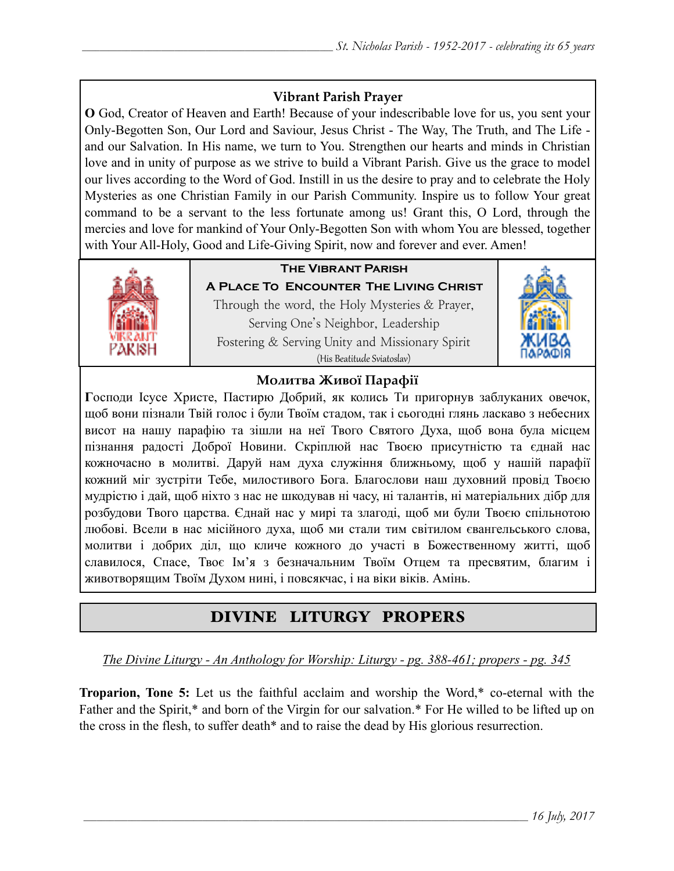## **Vibrant Parish Prayer**

**O** God, Creator of Heaven and Earth! Because of your indescribable love for us, you sent your Only-Begotten Son, Our Lord and Saviour, Jesus Christ - The Way, The Truth, and The Life and our Salvation. In His name, we turn to You. Strengthen our hearts and minds in Christian love and in unity of purpose as we strive to build a Vibrant Parish. Give us the grace to model our lives according to the Word of God. Instill in us the desire to pray and to celebrate the Holy Mysteries as one Christian Family in our Parish Community. Inspire us to follow Your great command to be a servant to the less fortunate among us! Grant this, O Lord, through the mercies and love for mankind of Your Only-Begotten Son with whom You are blessed, together with Your All-Holy, Good and Life-Giving Spirit, now and forever and ever. Amen!



## **The Vibrant Parish**

**A Place To Encounter The Living Christ** Through the word, the Holy Mysteries & Prayer, Serving One's Neighbor, Leadership Fostering & Serving Unity and Missionary Spirit (His Beatitude Sviatoslav)



## **Молитва Живої Парафії**

**Г**осподи Ісусе Христе, Пастирю Добрий, як колись Ти пригорнув заблуканих овечок, щоб вони пізнали Твій голос і були Твоїм стадом, так і сьогодні глянь ласкаво з небесних висот на нашу парафію та зішли на неї Твого Святого Духа, щоб вона була місцем пізнання радості Доброї Новини. Скріплюй нас Твоєю присутністю та єднай нас кожночасно в молитві. Даруй нам духа служіння ближньому, щоб у нашій парафії кожний міг зустріти Тебе, милостивого Бога. Благослови наш духовний провід Твоєю мудрістю і дай, щоб ніхто з нас не шкодував ні часу, ні талантів, ні матеріальних дібр для розбудови Твого царства. Єднай нас у мирі та злагоді, щоб ми були Твоєю спільнотою любові. Всели в нас місійного духа, щоб ми стали тим світилом євангельського слова, молитви і добрих діл, що кличе кожного до участі в Божественному житті, щоб славилося, Спасе, Твоє Ім'я з безначальним Твоїм Отцем та пресвятим, благим і животворящим Твоїм Духом нині, і повсякчас, і на віки віків. Амінь.

# DIVINE LITURGY PROPERS

*The Divine Liturgy - An Anthology for Worship: Liturgy - pg. 388-461; propers - pg. 345* 

**Troparion, Tone 5:** Let us the faithful acclaim and worship the Word,\* co-eternal with the Father and the Spirit,\* and born of the Virgin for our salvation.\* For He willed to be lifted up on the cross in the flesh, to suffer death\* and to raise the dead by His glorious resurrection.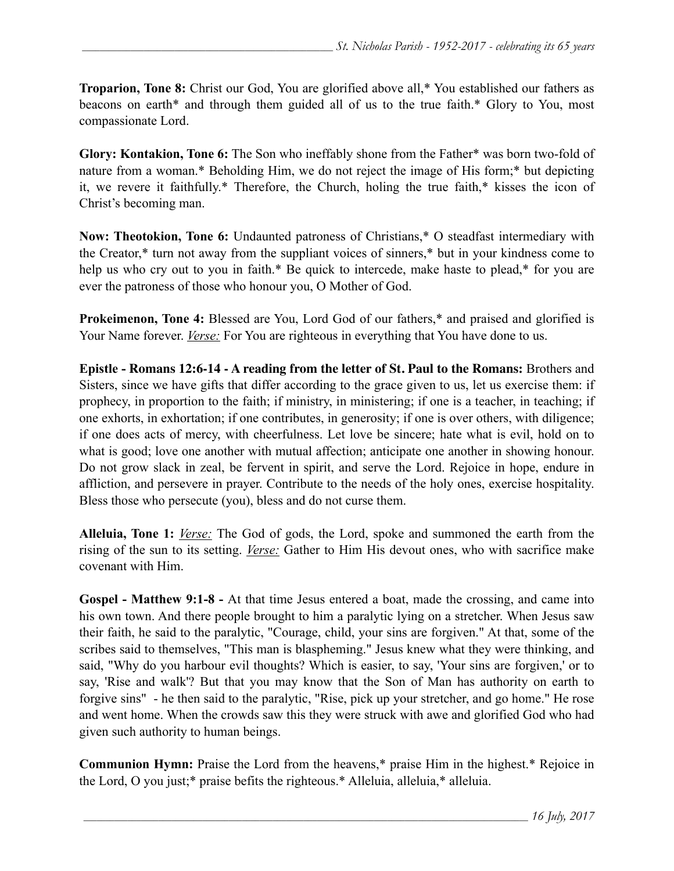**Troparion, Tone 8:** Christ our God, You are glorified above all,\* You established our fathers as beacons on earth\* and through them guided all of us to the true faith.\* Glory to You, most compassionate Lord.

**Glory: Kontakion, Tone 6:** The Son who ineffably shone from the Father\* was born two-fold of nature from a woman.\* Beholding Him, we do not reject the image of His form;\* but depicting it, we revere it faithfully.\* Therefore, the Church, holing the true faith,\* kisses the icon of Christ's becoming man.

**Now: Theotokion, Tone 6:** Undaunted patroness of Christians,\* O steadfast intermediary with the Creator,\* turn not away from the suppliant voices of sinners,\* but in your kindness come to help us who cry out to you in faith.\* Be quick to intercede, make haste to plead,\* for you are ever the patroness of those who honour you, O Mother of God.

**Prokeimenon, Tone 4:** Blessed are You, Lord God of our fathers,\* and praised and glorified is Your Name forever. *Verse:* For You are righteous in everything that You have done to us.

**Epistle - Romans 12:6-14 - A reading from the letter of St. Paul to the Romans:** Brothers and Sisters, since we have gifts that differ according to the grace given to us, let us exercise them: if prophecy, in proportion to the faith; if ministry, in ministering; if one is a teacher, in teaching; if one exhorts, in exhortation; if one contributes, in generosity; if one is over others, with diligence; if one does acts of mercy, with cheerfulness. Let love be sincere; hate what is evil, hold on to what is good; love one another with mutual affection; anticipate one another in showing honour. Do not grow slack in zeal, be fervent in spirit, and serve the Lord. Rejoice in hope, endure in affliction, and persevere in prayer. Contribute to the needs of the holy ones, exercise hospitality. Bless those who persecute (you), bless and do not curse them.

**Alleluia, Tone 1:** *Verse:* The God of gods, the Lord, spoke and summoned the earth from the rising of the sun to its setting. *Verse:* Gather to Him His devout ones, who with sacrifice make covenant with Him.

**Gospel - Matthew 9:1-8 -** At that time Jesus entered a boat, made the crossing, and came into his own town. And there people brought to him a paralytic lying on a stretcher. When Jesus saw their faith, he said to the paralytic, "Courage, child, your sins are forgiven." At that, some of the scribes said to themselves, "This man is blaspheming." Jesus knew what they were thinking, and said, "Why do you harbour evil thoughts? Which is easier, to say, 'Your sins are forgiven,' or to say, 'Rise and walk'? But that you may know that the Son of Man has authority on earth to forgive sins" - he then said to the paralytic, "Rise, pick up your stretcher, and go home." He rose and went home. When the crowds saw this they were struck with awe and glorified God who had given such authority to human beings.

**Communion Hymn:** Praise the Lord from the heavens,\* praise Him in the highest.\* Rejoice in the Lord, O you just;\* praise befits the righteous.\* Alleluia, alleluia,\* alleluia.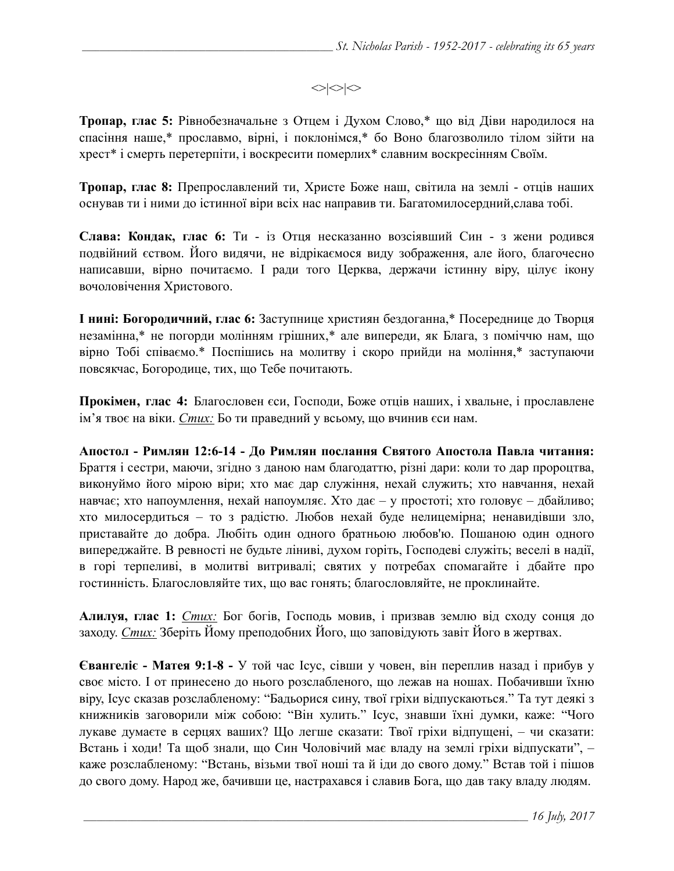$\langle \rangle \langle \rangle$ 

**Тропар, глас 5:** Рівнобезначальне з Отцем і Духом Слово,\* що від Діви народилося на спасіння наше,\* прославмо, вірні, і поклонімся,\* бо Воно благозволило тілом зійти на хрест\* і смерть перетерпіти, і воскресити померлих\* славним воскресінням Своїм.

**Тропар, глас 8:** Препрославлений ти, Христе Боже наш, світила на землі - отців наших оснував ти і ними до істинної віри всіх нас направив ти. Багатомилосердний,слава тобі.

**Слава: Кондак, глас 6:** Ти - iз Отця несказанно возсіявший Син - з жени родився подвійний єством. Його видячи, не відрікаємося виду зображення, але його, благочесно написавши, вірно почитаємо. І ради того Церква, держачи істинну віру, цілує ікону вочоловічення Христового.

**І нині: Богородичний, глас 6:** Заступнице християн бездоганна,\* Посереднице до Творця незамінна,\* не погорди молінням грішних,\* але випереди, як Блага, з поміччю нам, що вірно Тобі співаємо.\* Поспішись на молитву і скоро прийди на моління,\* заступаючи повсякчас, Богородице, тих, що Тебе почитають.

**Прокімен, глас 4:** Благословен єси, Господи, Боже отців наших, і хвальне, і прославлене ім'я твоє на віки. *Стих:* Бо ти праведний у всьому, що вчинив єси нам.

**Апостол - Римлян 12:6-14 - До Римлян послання Святого Апостола Павла читання:**  Браття і сестри, маючи, згідно з даною нам благодаттю, різні дари: коли то дар пророцтва, виконуймо його мірою віри; хто має дар служіння, нехай служить; хто навчання, нехай навчає; хто напоумлення, нехай напоумляє. Хто дає – у простоті; хто головує – дбайливо; хто милосердиться – то з радістю. Любов нехай буде нелицемірна; ненавидівши зло, приставайте до добра. Любіть один одного братньою любов'ю. Пошаною один одного випереджайте. В ревності не будьте ліниві, духом горіть, Господеві служіть; веселі в надії, в горі терпеливі, в молитві витривалі; святих у потребах спомагайте і дбайте про гостинність. Благословляйте тих, що вас гонять; благословляйте, не проклинайте.

**Алилуя, глас 1:** *Стих:* Бог богів, Господь мовив, і призвав землю від сходу сонця до заходу. *Стих:* Зберіть Йому преподобних Його, що заповідують завіт Його в жертвах.

**Євангеліє - Матея 9:1-8 -** У той час Ісус, сівши у човен, він переплив назад і прибув у своє місто. І от принесено до нього розслабленого, що лежав на ношах. Побачивши їхню віру, Ісус сказав розслабленому: "Бадьорися сину, твої гріхи відпускаються." Та тут деякі з книжників заговорили між собою: "Він хулить." Ісус, знавши їхні думки, каже: "Чого лукаве думаєте в серцях ваших? Що легше сказати: Твої гріхи відпущені, – чи сказати: Встань і ходи! Та щоб знали, що Син Чоловічий має владу на землі гріхи відпускати", – каже розслабленому: "Встань, візьми твої ноші та й іди до свого дому." Встав той і пішов до свого дому. Народ же, бачивши це, настрахався і славив Бога, що дав таку владу людям.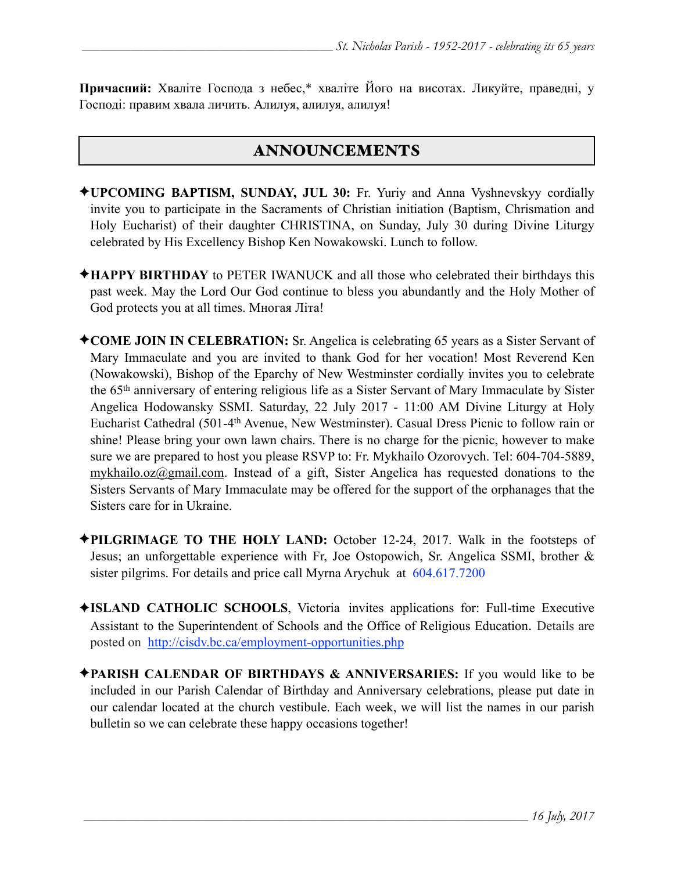**Причасний:** Хваліте Господа з небес,\* хваліте Його на висотах. Ликуйте, праведні, у Господі: правим хвала личить. Алилуя, алилуя, алилуя!

# ANNOUNCEMENTS

- ✦**UPCOMING BAPTISM, SUNDAY, JUL 30:** Fr. Yuriy and Anna Vyshnevskyy cordially invite you to participate in the Sacraments of Christian initiation (Baptism, Chrismation and Holy Eucharist) of their daughter CHRISTINA, on Sunday, July 30 during Divine Liturgy celebrated by His Excellency Bishop Ken Nowakowski. Lunch to follow.
- ✦**HAPPY BIRTHDAY** to PETER IWANUCK and all those who celebrated their birthdays this past week. May the Lord Our God continue to bless you abundantly and the Holy Mother of God protects you at all times. Многая Літа!
- ✦**COME JOIN IN CELEBRATION:** Sr. Angelica is celebrating 65 years as a Sister Servant of Mary Immaculate and you are invited to thank God for her vocation! Most Reverend Ken (Nowakowski), Bishop of the Eparchy of New Westminster cordially invites you to celebrate the 65th anniversary of entering religious life as a Sister Servant of Mary Immaculate by Sister Angelica Hodowansky SSMI. Saturday, 22 July 2017 - 11:00 AM Divine Liturgy at Holy Eucharist Cathedral (501-4th Avenue, New Westminster). Casual Dress Picnic to follow rain or shine! Please bring your own lawn chairs. There is no charge for the picnic, however to make sure we are prepared to host you please RSVP to: Fr. Mykhailo Ozorovych. Tel: 604-704-5889, [mykhailo.oz@gmail.com.](mailto:mykhailo.oz@gmail.com) Instead of a gift, Sister Angelica has requested donations to the Sisters Servants of Mary Immaculate may be offered for the support of the orphanages that the Sisters care for in Ukraine.
- ✦**PILGRIMAGE TO THE HOLY LAND:** October 12-24, 2017. Walk in the footsteps of Jesus; an unforgettable experience with Fr, Joe Ostopowich, Sr. Angelica SSMI, brother & sister pilgrims. For details and price call Myrna Arychuk at 604.617.7200
- ✦**ISLAND CATHOLIC SCHOOLS**, Victoria invites applications for: Full-time Executive Assistant to the Superintendent of Schools and the Office of Religious Education. Details are posted on <http://cisdv.bc.ca/employment-opportunities.php>
- ✦**PARISH CALENDAR OF BIRTHDAYS & ANNIVERSARIES:** If you would like to be included in our Parish Calendar of Birthday and Anniversary celebrations, please put date in our calendar located at the church vestibule. Each week, we will list the names in our parish bulletin so we can celebrate these happy occasions together!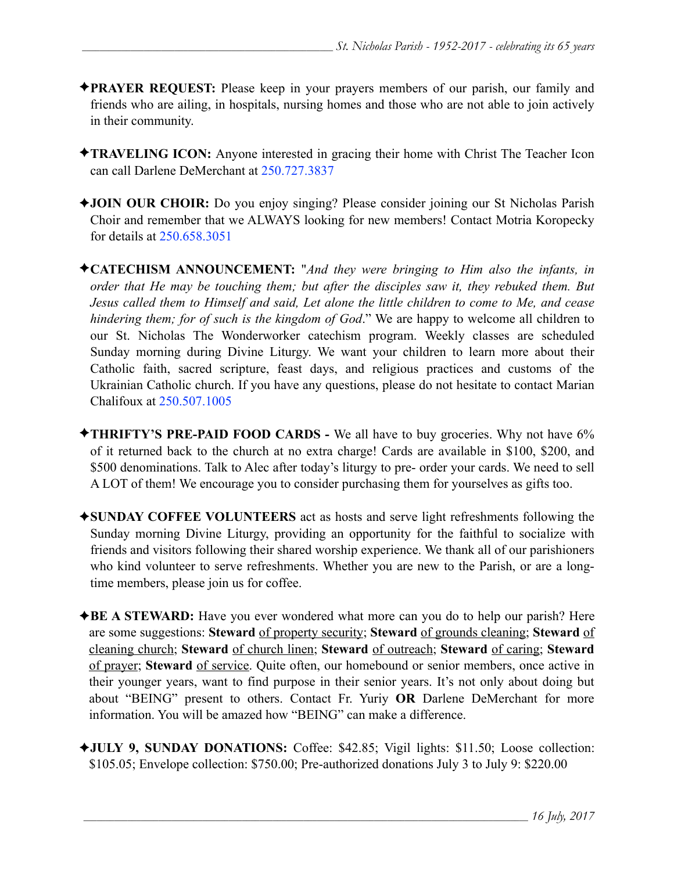- ✦**PRAYER REQUEST:** Please keep in your prayers members of our parish, our family and friends who are ailing, in hospitals, nursing homes and those who are not able to join actively in their community.
- ✦**TRAVELING ICON:** Anyone interested in gracing their home with Christ The Teacher Icon can call Darlene DeMerchant at 250.727.3837
- ✦**JOIN OUR CHOIR:** Do you enjoy singing? Please consider joining our St Nicholas Parish Choir and remember that we ALWAYS looking for new members! Contact Motria Koropecky for details at 250.658.3051
- ✦**CATECHISM ANNOUNCEMENT:** "*And they were bringing to Him also the infants, in order that He may be touching them; but after the disciples saw it, they rebuked them. But Jesus called them to Himself and said, Let alone the little children to come to Me, and cease hindering them; for of such is the kingdom of God*." We are happy to welcome all children to our St. Nicholas The Wonderworker catechism program. Weekly classes are scheduled Sunday morning during Divine Liturgy. We want your children to learn more about their Catholic faith, sacred scripture, feast days, and religious practices and customs of the Ukrainian Catholic church. If you have any questions, please do not hesitate to contact Marian Chalifoux at 250.507.1005
- ✦**THRIFTY'S PRE-PAID FOOD CARDS** We all have to buy groceries. Why not have 6% of it returned back to the church at no extra charge! Cards are available in \$100, \$200, and \$500 denominations. Talk to Alec after today's liturgy to pre- order your cards. We need to sell A LOT of them! We encourage you to consider purchasing them for yourselves as gifts too.
- ✦**SUNDAY COFFEE VOLUNTEERS** act as hosts and serve light refreshments following the Sunday morning Divine Liturgy, providing an opportunity for the faithful to socialize with friends and visitors following their shared worship experience. We thank all of our parishioners who kind volunteer to serve refreshments. Whether you are new to the Parish, or are a longtime members, please join us for coffee.
- ✦**BE A STEWARD:** Have you ever wondered what more can you do to help our parish? Here are some suggestions: **Steward** of property security; **Steward** of grounds cleaning; **Steward** of cleaning church; **Steward** of church linen; **Steward** of outreach; **Steward** of caring; **Steward** of prayer; **Steward** of service. Quite often, our homebound or senior members, once active in their younger years, want to find purpose in their senior years. It's not only about doing but about "BEING" present to others. Contact Fr. Yuriy **OR** Darlene DeMerchant for more information. You will be amazed how "BEING" can make a difference.
- ✦**JULY 9, SUNDAY DONATIONS:** Coffee: \$42.85; Vigil lights: \$11.50; Loose collection: \$105.05; Envelope collection: \$750.00; Pre-authorized donations July 3 to July 9: \$220.00